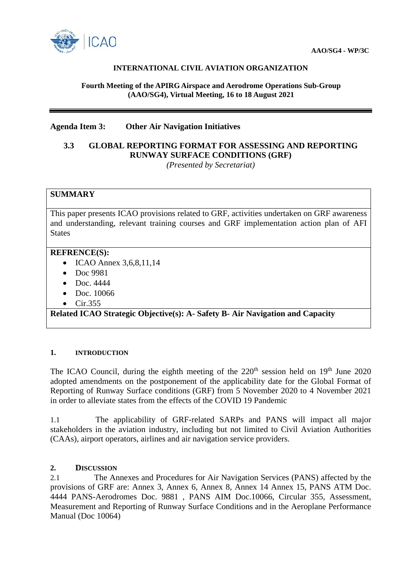

## **INTERNATIONAL CIVIL AVIATION ORGANIZATION**

#### **Fourth Meeting of the APIRG Airspace and Aerodrome Operations Sub-Group (AAO/SG4), Virtual Meeting, 16 to 18 August 2021**

## **Agenda Item 3: Other Air Navigation Initiatives**

# **3.3 GLOBAL REPORTING FORMAT FOR ASSESSING AND REPORTING RUNWAY SURFACE CONDITIONS (GRF)**

*(Presented by Secretariat)*

## **SUMMARY**

This paper presents ICAO provisions related to GRF, activities undertaken on GRF awareness and understanding, relevant training courses and GRF implementation action plan of AFI States

#### **REFRENCE(S):**

- ICAO Annex 3,6,8,11,14
- Doc 9981
- Doc. 4444
- Doc. 10066
- Cir.355

## **Related ICAO Strategic Objective(s): A- Safety B- Air Navigation and Capacity**

## **1. INTRODUCTION**

The ICAO Council, during the eighth meeting of the  $220<sup>th</sup>$  session held on  $19<sup>th</sup>$  June 2020 adopted amendments on the postponement of the applicability date for the Global Format of Reporting of Runway Surface conditions (GRF) from 5 November 2020 to 4 November 2021 in order to alleviate states from the effects of the COVID 19 Pandemic

1.1 The applicability of GRF-related SARPs and PANS will impact all major stakeholders in the aviation industry, including but not limited to Civil Aviation Authorities (CAAs), airport operators, airlines and air navigation service providers.

## **2. DISCUSSION**

2.1 The Annexes and Procedures for Air Navigation Services (PANS) affected by the provisions of GRF are: Annex 3, Annex 6, Annex 8, Annex 14 Annex 15, PANS ATM Doc. 4444 PANS-Aerodromes Doc. 9881 , PANS AIM Doc.10066, Circular 355, Assessment, Measurement and Reporting of Runway Surface Conditions and in the Aeroplane Performance Manual (Doc 10064)